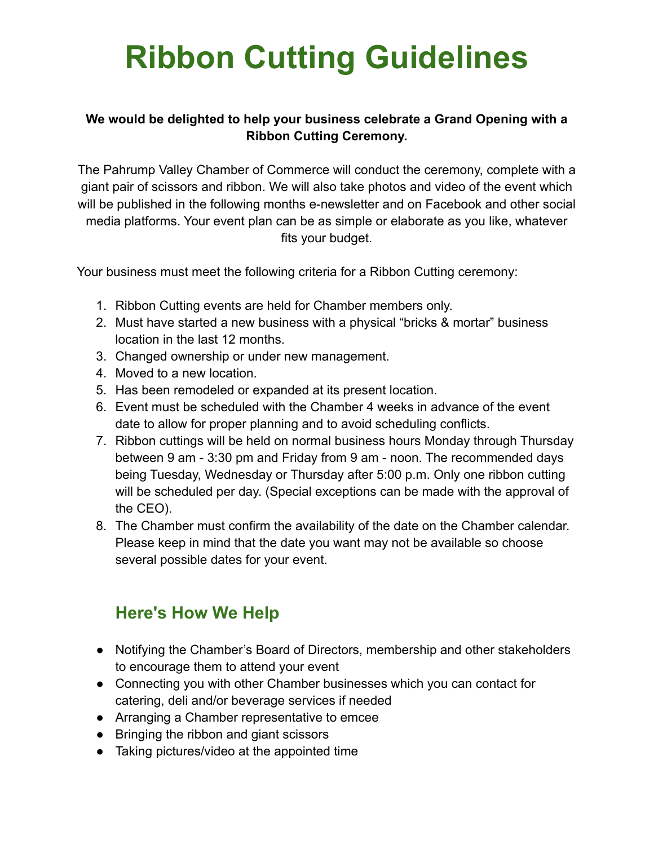# **Ribbon Cutting Guidelines**

#### **We would be delighted to help your business celebrate a Grand Opening with a Ribbon Cutting Ceremony.**

The Pahrump Valley Chamber of Commerce will conduct the ceremony, complete with a giant pair of scissors and ribbon. We will also take photos and video of the event which will be published in the following months e-newsletter and on Facebook and other social media platforms. Your event plan can be as simple or elaborate as you like, whatever fits your budget.

Your business must meet the following criteria for a Ribbon Cutting ceremony:

- 1. Ribbon Cutting events are held for Chamber members only.
- 2. Must have started a new business with a physical "bricks & mortar" business location in the last 12 months.
- 3. Changed ownership or under new management.
- 4. Moved to a new location.
- 5. Has been remodeled or expanded at its present location.
- 6. Event must be scheduled with the Chamber 4 weeks in advance of the event date to allow for proper planning and to avoid scheduling conflicts.
- 7. Ribbon cuttings will be held on normal business hours Monday through Thursday between 9 am - 3:30 pm and Friday from 9 am - noon. The recommended days being Tuesday, Wednesday or Thursday after 5:00 p.m. Only one ribbon cutting will be scheduled per day. (Special exceptions can be made with the approval of the CEO).
- 8. The Chamber must confirm the availability of the date on the Chamber calendar. Please keep in mind that the date you want may not be available so choose several possible dates for your event.

## **Here's How We Help**

- Notifying the Chamber's Board of Directors, membership and other stakeholders to encourage them to attend your event
- Connecting you with other Chamber businesses which you can contact for catering, deli and/or beverage services if needed
- Arranging a Chamber representative to emcee
- Bringing the ribbon and giant scissors
- Taking pictures/video at the appointed time